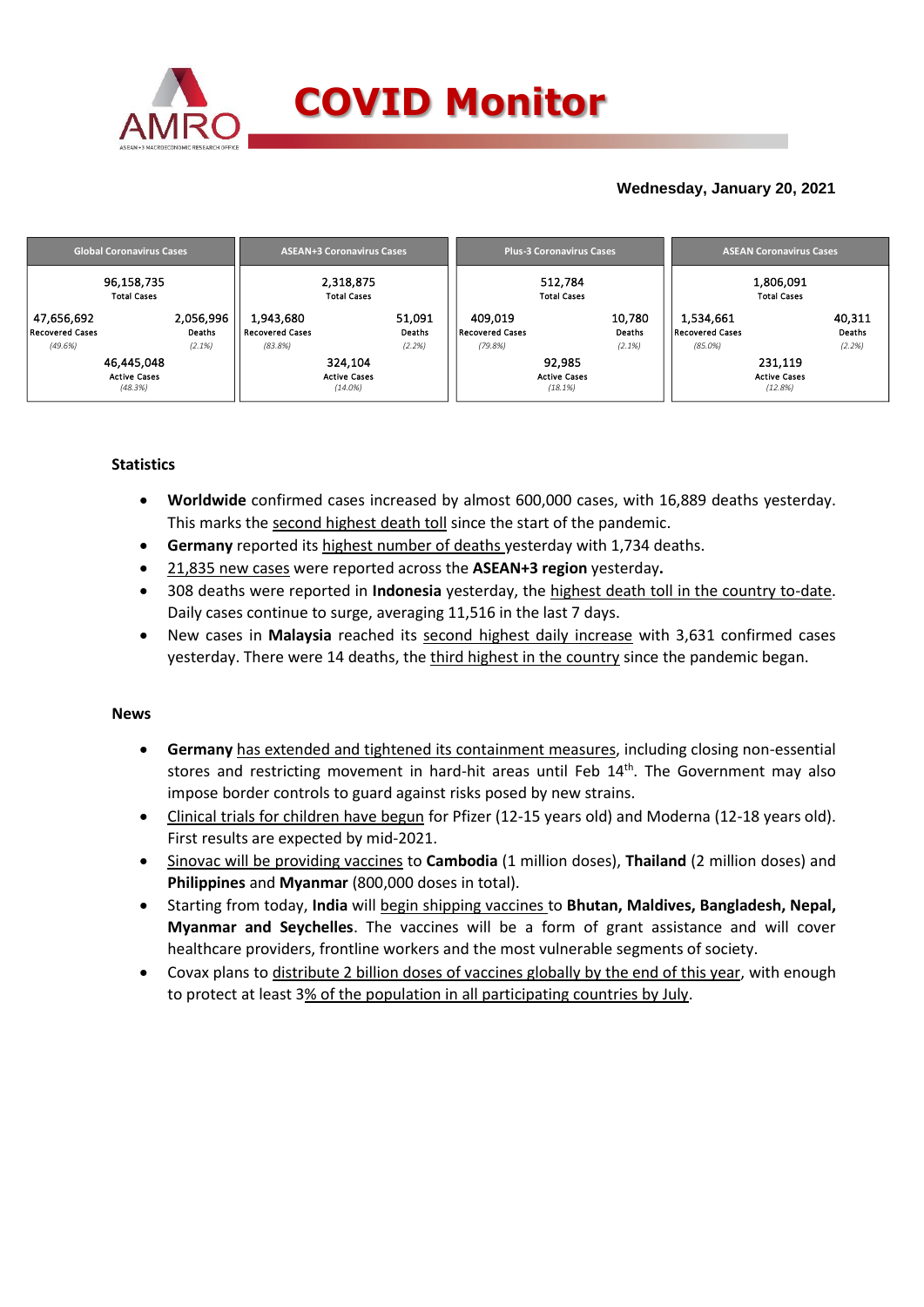

## **Wednesday, January 20, 2021**

|                                                 | <b>Global Coronavirus Cases</b>              |                                                | <b>ASEAN+3 Coronavirus Cases</b>             |                            |                                              | <b>Plus-3 Coronavirus Cases</b>          |                            | <b>ASEAN Coronavirus Cases</b>             |                                           |                            |  |
|-------------------------------------------------|----------------------------------------------|------------------------------------------------|----------------------------------------------|----------------------------|----------------------------------------------|------------------------------------------|----------------------------|--------------------------------------------|-------------------------------------------|----------------------------|--|
|                                                 | 96,158,735<br><b>Total Cases</b>             |                                                | 2,318,875<br><b>Total Cases</b>              |                            |                                              | 512.784<br><b>Total Cases</b>            |                            |                                            | 1,806,091<br><b>Total Cases</b>           |                            |  |
| 47,656,692<br><b>Recovered Cases</b><br>(49.6%) | 2,056,996<br>Deaths<br>(2.1%)                | 1,943,680<br><b>Recovered Cases</b><br>(83.8%) |                                              | 51,091<br>Deaths<br>(2.2%) | 409,019<br><b>Recovered Cases</b><br>(79.8%) |                                          | 10,780<br>Deaths<br>(2.1%) | 1,534,661<br>Recovered Cases<br>$(85.0\%)$ |                                           | 40,311<br>Deaths<br>(2.2%) |  |
|                                                 | 46,445,048<br><b>Active Cases</b><br>(48.3%) |                                                | 324,104<br><b>Active Cases</b><br>$(14.0\%)$ |                            |                                              | 92,985<br><b>Active Cases</b><br>(18.1%) |                            |                                            | 231,119<br><b>Active Cases</b><br>(12.8%) |                            |  |

### **Statistics**

- **Worldwide** confirmed cases increased by almost 600,000 cases, with 16,889 deaths yesterday. This marks the second highest death toll since the start of the pandemic.
- **Germany** reported its highest number of deaths yesterday with 1,734 deaths.
- 21,835 new cases were reported across the **ASEAN+3 region** yesterday**.**
- 308 deaths were reported in **Indonesia** yesterday, the highest death toll in the country to-date. Daily cases continue to surge, averaging 11,516 in the last 7 days.
- New cases in **Malaysia** reached its second highest daily increase with 3,631 confirmed cases yesterday. There were 14 deaths, the third highest in the country since the pandemic began.

### **News**

- **Germany** has extended and tightened its containment measures, including closing non-essential stores and restricting movement in hard-hit areas until Feb 14<sup>th</sup>. The Government may also impose border controls to guard against risks posed by new strains.
- Clinical trials for children have begun for Pfizer (12-15 years old) and Moderna (12-18 years old). First results are expected by mid-2021.
- Sinovac will be providing vaccines to **Cambodia** (1 million doses), **Thailand** (2 million doses) and **Philippines** and **Myanmar** (800,000 doses in total).
- Starting from today, **India** will begin shipping vaccines to **Bhutan, Maldives, Bangladesh, Nepal, Myanmar and Seychelles**. The vaccines will be a form of grant assistance and will cover healthcare providers, frontline workers and the most vulnerable segments of society.
- Covax plans to distribute 2 billion doses of vaccines globally by the end of this year, with enough to protect at least 3% of the population in all participating countries by July.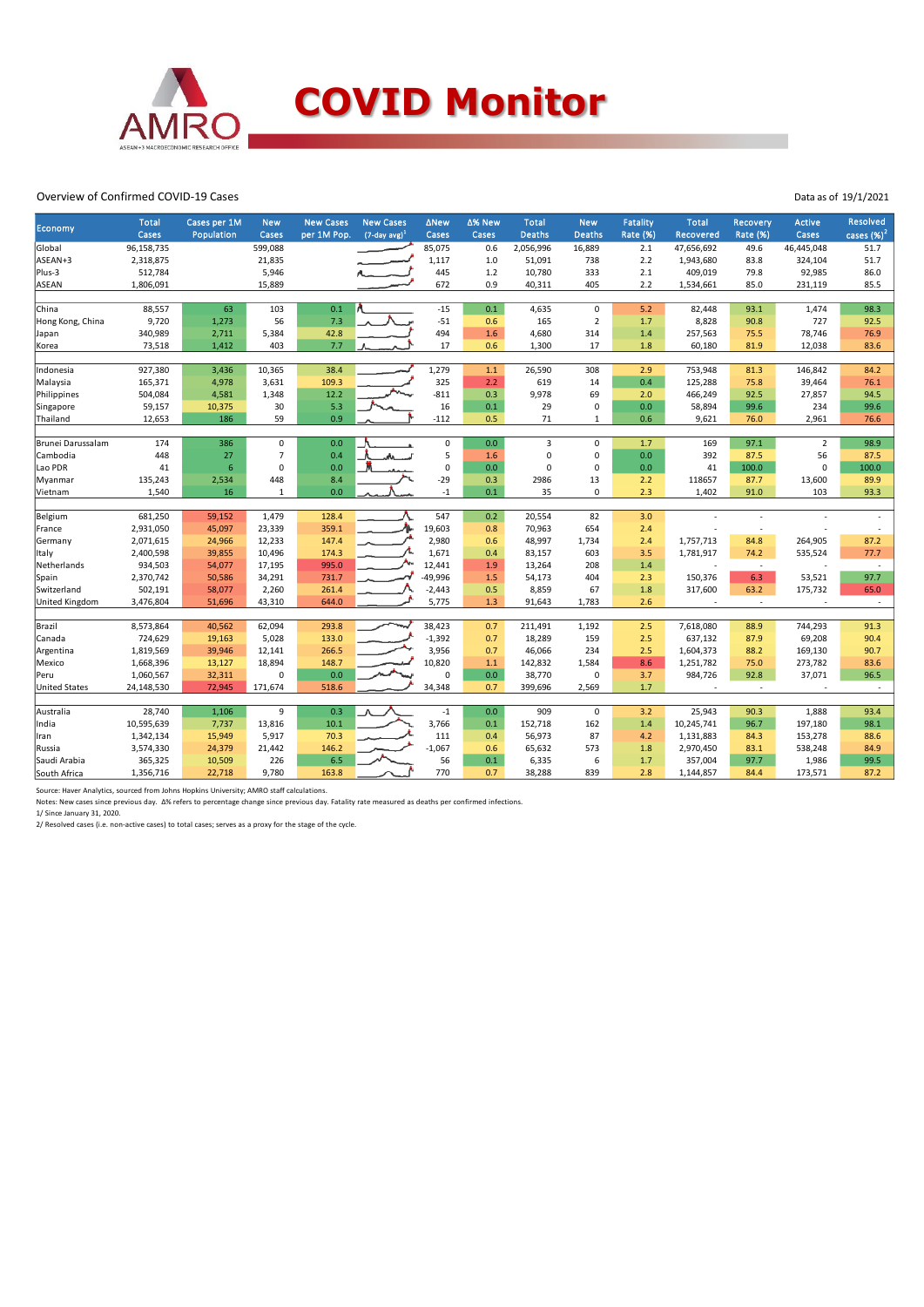

#### Overview of Confirmed COVID-19 Cases

| <b>Economy</b>        | <b>Total</b> | Cases per 1M    | <b>New</b>     | <b>New Cases</b> | <b>New Cases</b>    | <b>ANew</b> | ∆% New | <b>Total</b>   | <b>New</b>     | Fatality | <b>Total</b>     | Recovery        | <b>Active</b>  | <b>Resolved</b> |
|-----------------------|--------------|-----------------|----------------|------------------|---------------------|-------------|--------|----------------|----------------|----------|------------------|-----------------|----------------|-----------------|
|                       | Cases        | Population      | Cases          | per 1M Pop.      | $(7$ -day avg $)^1$ | Cases       | Cases  | <b>Deaths</b>  | <b>Deaths</b>  | Rate (%) | <b>Recovered</b> | <b>Rate (%)</b> | Cases          | cases $(\%)^2$  |
| Global                | 96,158,735   |                 | 599,088        |                  |                     | 85,075      | 0.6    | 2,056,996      | 16,889         | 2.1      | 47,656,692       | 49.6            | 46,445,048     | 51.7            |
| ASEAN+3               | 2,318,875    |                 | 21,835         |                  |                     | 1,117       | 1.0    | 51,091         | 738            | 2.2      | 1,943,680        | 83.8            | 324,104        | 51.7            |
| Plus-3                | 512,784      |                 | 5,946          |                  |                     | 445         | 1.2    | 10,780         | 333            | 2.1      | 409,019          | 79.8            | 92,985         | 86.0            |
| <b>ASEAN</b>          | 1,806,091    |                 | 15,889         |                  |                     | 672         | 0.9    | 40,311         | 405            | 2.2      | 1,534,661        | 85.0            | 231,119        | 85.5            |
|                       |              |                 |                |                  |                     |             |        |                |                |          |                  |                 |                |                 |
| China                 | 88,557       | 63              | 103            | 0.1              |                     | $-15$       | 0.1    | 4,635          | $\mathbf 0$    | 5.2      | 82,448           | 93.1            | 1,474          | 98.3            |
| Hong Kong, China      | 9,720        | 1,273           | 56             | 7.3              |                     | $-51$       | 0.6    | 165            | $\overline{2}$ | 1.7      | 8,828            | 90.8            | 727            | 92.5            |
| Japan                 | 340,989      | 2,711           | 5,384          | 42.8             |                     | 494         | 1.6    | 4,680          | 314            | 1.4      | 257,563          | 75.5            | 78,746         | 76.9            |
| Korea                 | 73,518       | 1,412           | 403            | 7.7              |                     | 17          | 0.6    | 1,300          | 17             | 1.8      | 60,180           | 81.9            | 12,038         | 83.6            |
|                       |              |                 |                |                  |                     |             |        |                |                |          |                  |                 |                |                 |
| Indonesia             | 927,380      | 3,436           | 10,365         | 38.4             |                     | 1,279       | 1.1    | 26,590         | 308            | 2.9      | 753,948          | 81.3            | 146,842        | 84.2            |
| Malaysia              | 165,371      | 4,978           | 3,631          | 109.3            |                     | 325         | 2.2    | 619            | 14             | 0.4      | 125,288          | 75.8            | 39,464         | 76.1            |
| Philippines           | 504,084      | 4,581           | 1,348          | 12.2             |                     | $-811$      | 0.3    | 9,978          | 69             | 2.0      | 466,249          | 92.5            | 27,857         | 94.5            |
| Singapore             | 59,157       | 10,375          | 30             | 5.3              |                     | 16          | 0.1    | 29             | 0              | 0.0      | 58,894           | 99.6            | 234            | 99.6            |
| Thailand              | 12,653       | 186             | 59             | 0.9              |                     | $-112$      | 0.5    | 71             | $\mathbf{1}$   | 0.6      | 9,621            | 76.0            | 2,961          | 76.6            |
| Brunei Darussalam     | 174          | 386             | $\mathsf 0$    | 0.0              |                     | $\mathsf 0$ | 0.0    | $\overline{3}$ | $\mathbf 0$    | 1.7      | 169              | 97.1            | $\overline{2}$ | 98.9            |
| Cambodia              | 448          | 27              | $\overline{7}$ | 0.4              | aha.                | 5           | 1.6    | 0              | $\mathsf 0$    | 0.0      | 392              | 87.5            | 56             | 87.5            |
| Lao PDR               | 41           | $6\overline{6}$ | $\mathbf 0$    | 0.0              |                     | 0           | 0.0    | 0              | $\mathbf 0$    | 0.0      | 41               | 100.0           | $\mathbf 0$    | 100.0           |
| Myanmar               | 135,243      | 2,534           | 448            | 8.4              |                     | $-29$       | 0.3    | 2986           | 13             | 2.2      | 118657           | 87.7            | 13,600         | 89.9            |
| Vietnam               | 1,540        | 16              | 1              | 0.0              |                     | $-1$        | 0.1    | 35             | $\mathbf 0$    | 2.3      | 1,402            | 91.0            | 103            | 93.3            |
|                       |              |                 |                |                  |                     |             |        |                |                |          |                  |                 |                |                 |
| Belgium               | 681,250      | 59,152          | 1,479          | 128.4            |                     | 547         | 0.2    | 20,554         | 82             | 3.0      |                  |                 |                |                 |
| France                | 2,931,050    | 45,097          | 23,339         | 359.1            | Λ.                  | 19,603      | 0.8    | 70,963         | 654            | 2.4      |                  | ٠               |                |                 |
| Germany               | 2,071,615    | 24,966          | 12,233         | 147.4            |                     | 2,980       | 0.6    | 48,997         | 1,734          | 2.4      | 1,757,713        | 84.8            | 264,905        | 87.2            |
| Italy                 | 2,400,598    | 39,855          | 10,496         | 174.3            |                     | 1,671       | 0.4    | 83,157         | 603            | 3.5      | 1,781,917        | 74.2            | 535,524        | 77.7            |
| Netherlands           | 934,503      | 54,077          | 17,195         | 995.0            | ∼                   | 12,441      | 1.9    | 13,264         | 208            | 1.4      | ÷,               | $\sim$          |                |                 |
| Spain                 | 2,370,742    | 50,586          | 34,291         | 731.7            |                     | -49,996     | 1.5    | 54,173         | 404            | 2.3      | 150,376          | 6.3             | 53,521         | 97.7            |
| Switzerland           | 502,191      | 58,077          | 2,260          | 261.4            |                     | $-2,443$    | 0.5    | 8,859          | 67             | 1.8      | 317,600          | 63.2            | 175,732        | 65.0            |
| <b>United Kingdom</b> | 3,476,804    | 51,696          | 43,310         | 644.0            |                     | 5,775       | 1.3    | 91,643         | 1,783          | 2.6      |                  | $\sim$          |                | $\sim$          |
|                       |              |                 |                |                  |                     |             |        |                |                |          |                  |                 |                |                 |
| Brazil                | 8,573,864    | 40,562          | 62,094         | 293.8            |                     | 38,423      | 0.7    | 211,491        | 1,192          | 2.5      | 7,618,080        | 88.9            | 744,293        | 91.3            |
| Canada                | 724,629      | 19,163          | 5,028          | 133.0            |                     | $-1,392$    | 0.7    | 18,289         | 159            | 2.5      | 637,132          | 87.9            | 69,208         | 90.4            |
| Argentina             | 1,819,569    | 39,946          | 12,141         | 266.5            |                     | 3,956       | 0.7    | 46,066         | 234            | 2.5      | 1,604,373        | 88.2            | 169,130        | 90.7            |
| Mexico                | 1,668,396    | 13,127          | 18,894         | 148.7            |                     | 10,820      | $1.1$  | 142,832        | 1,584          | 8.6      | 1,251,782        | 75.0            | 273,782        | 83.6            |
| Peru                  | 1,060,567    | 32,311          | 0              | 0.0              |                     | $\Omega$    | 0.0    | 38,770         | $\mathbf 0$    | 3.7      | 984,726          | 92.8            | 37,071         | 96.5            |
| <b>United States</b>  | 24,148,530   | 72,945          | 171,674        | 518.6            |                     | 34,348      | 0.7    | 399,696        | 2,569          | 1.7      | ٠                | $\sim$          |                | ×,              |
|                       |              |                 |                |                  |                     |             |        |                |                |          |                  |                 |                |                 |
| Australia             | 28,740       | 1,106           | 9              | 0.3              |                     | $^{\circ}1$ | 0.0    | 909            | $\mathsf 0$    | 3.2      | 25,943           | 90.3            | 1,888          | 93.4            |
| India                 | 10,595,639   | 7,737           | 13,816         | 10.1             |                     | 3,766       | 0.1    | 152,718        | 162            | 1.4      | 10,245,741       | 96.7            | 197,180        | 98.1            |
| Iran                  | 1,342,134    | 15,949          | 5,917          | 70.3             |                     | 111         | 0.4    | 56,973         | 87             | 4.2      | 1,131,883        | 84.3            | 153,278        | 88.6            |
| Russia                | 3,574,330    | 24,379          | 21,442         | 146.2            |                     | $-1,067$    | 0.6    | 65,632         | 573            | 1.8      | 2,970,450        | 83.1            | 538,248        | 84.9            |
| Saudi Arabia          | 365,325      | 10,509          | 226            | 6.5              |                     | 56          | 0.1    | 6,335          | 6              | 1.7      | 357,004          | 97.7            | 1,986          | 99.5            |
| South Africa          | 1,356,716    | 22,718          | 9,780          | 163.8            |                     | 770         | 0.7    | 38,288         | 839            | 2.8      | 1,144,857        | 84.4            | 173,571        | 87.2            |

Source: Haver Analytics, sourced from Johns Hopkins University; AMRO staff calculations.<br>Notes: New cases since previous day. Δ% refers to percentage change since previous day. Fatality rate measured as deaths per confirm

Data as of 19/1/2021